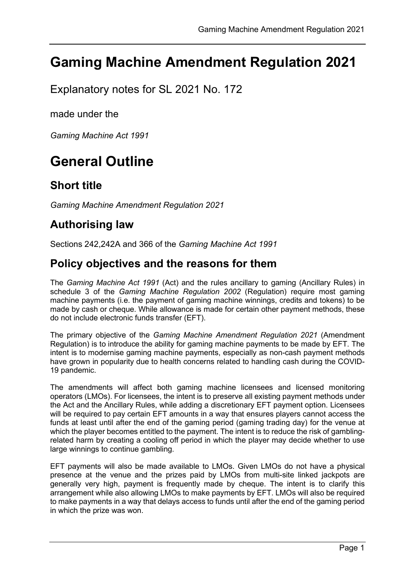# Gaming Machine Amendment Regulation 2021

Explanatory notes for SL 2021 No. 172

made under the

Gaming Machine Act 1991

# General Outline

### Short title

Gaming Machine Amendment Regulation 2021

## Authorising law

Sections 242,242A and 366 of the Gaming Machine Act 1991

### Policy objectives and the reasons for them

The Gaming Machine Act 1991 (Act) and the rules ancillary to gaming (Ancillary Rules) in schedule 3 of the Gaming Machine Regulation 2002 (Regulation) require most gaming machine payments (i.e. the payment of gaming machine winnings, credits and tokens) to be made by cash or cheque. While allowance is made for certain other payment methods, these do not include electronic funds transfer (EFT).

The primary objective of the Gaming Machine Amendment Regulation 2021 (Amendment Regulation) is to introduce the ability for gaming machine payments to be made by EFT. The intent is to modernise gaming machine payments, especially as non-cash payment methods have grown in popularity due to health concerns related to handling cash during the COVID-19 pandemic.

The amendments will affect both gaming machine licensees and licensed monitoring operators (LMOs). For licensees, the intent is to preserve all existing payment methods under the Act and the Ancillary Rules, while adding a discretionary EFT payment option. Licensees will be required to pay certain EFT amounts in a way that ensures players cannot access the funds at least until after the end of the gaming period (gaming trading day) for the venue at which the player becomes entitled to the payment. The intent is to reduce the risk of gamblingrelated harm by creating a cooling off period in which the player may decide whether to use large winnings to continue gambling.

EFT payments will also be made available to LMOs. Given LMOs do not have a physical presence at the venue and the prizes paid by LMOs from multi-site linked jackpots are generally very high, payment is frequently made by cheque. The intent is to clarify this arrangement while also allowing LMOs to make payments by EFT. LMOs will also be required to make payments in a way that delays access to funds until after the end of the gaming period in which the prize was won.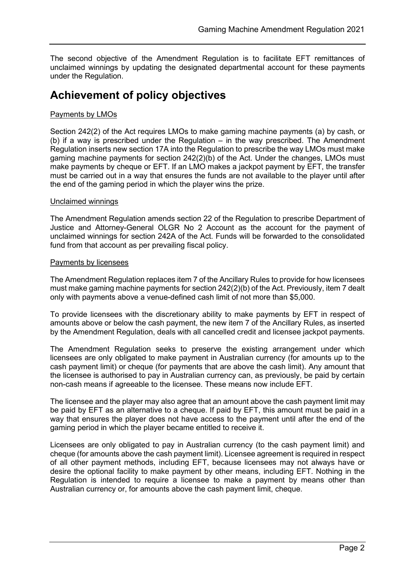The second objective of the Amendment Regulation is to facilitate EFT remittances of unclaimed winnings by updating the designated departmental account for these payments under the Regulation.

### Achievement of policy objectives

### Payments by LMOs

Section 242(2) of the Act requires LMOs to make gaming machine payments (a) by cash, or (b) if a way is prescribed under the Regulation – in the way prescribed. The Amendment Regulation inserts new section 17A into the Regulation to prescribe the way LMOs must make gaming machine payments for section 242(2)(b) of the Act. Under the changes, LMOs must make payments by cheque or EFT. If an LMO makes a jackpot payment by EFT, the transfer must be carried out in a way that ensures the funds are not available to the player until after the end of the gaming period in which the player wins the prize.

#### Unclaimed winnings

The Amendment Regulation amends section 22 of the Regulation to prescribe Department of Justice and Attorney-General OLGR No 2 Account as the account for the payment of unclaimed winnings for section 242A of the Act. Funds will be forwarded to the consolidated fund from that account as per prevailing fiscal policy.

#### Payments by licensees

The Amendment Regulation replaces item 7 of the Ancillary Rules to provide for how licensees must make gaming machine payments for section 242(2)(b) of the Act. Previously, item 7 dealt only with payments above a venue-defined cash limit of not more than \$5,000.

To provide licensees with the discretionary ability to make payments by EFT in respect of amounts above or below the cash payment, the new item 7 of the Ancillary Rules, as inserted by the Amendment Regulation, deals with all cancelled credit and licensee jackpot payments.

The Amendment Regulation seeks to preserve the existing arrangement under which licensees are only obligated to make payment in Australian currency (for amounts up to the cash payment limit) or cheque (for payments that are above the cash limit). Any amount that the licensee is authorised to pay in Australian currency can, as previously, be paid by certain non-cash means if agreeable to the licensee. These means now include EFT.

The licensee and the player may also agree that an amount above the cash payment limit may be paid by EFT as an alternative to a cheque. If paid by EFT, this amount must be paid in a way that ensures the player does not have access to the payment until after the end of the gaming period in which the player became entitled to receive it.

Licensees are only obligated to pay in Australian currency (to the cash payment limit) and cheque (for amounts above the cash payment limit). Licensee agreement is required in respect of all other payment methods, including EFT, because licensees may not always have or desire the optional facility to make payment by other means, including EFT. Nothing in the Regulation is intended to require a licensee to make a payment by means other than Australian currency or, for amounts above the cash payment limit, cheque.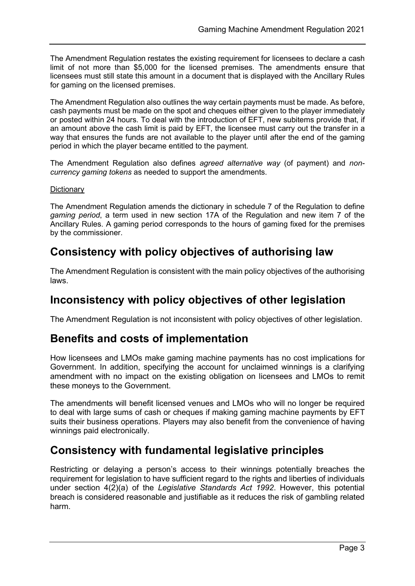The Amendment Regulation restates the existing requirement for licensees to declare a cash limit of not more than \$5,000 for the licensed premises. The amendments ensure that licensees must still state this amount in a document that is displayed with the Ancillary Rules for gaming on the licensed premises.

The Amendment Regulation also outlines the way certain payments must be made. As before, cash payments must be made on the spot and cheques either given to the player immediately or posted within 24 hours. To deal with the introduction of EFT, new subitems provide that, if an amount above the cash limit is paid by EFT, the licensee must carry out the transfer in a way that ensures the funds are not available to the player until after the end of the gaming period in which the player became entitled to the payment.

The Amendment Regulation also defines agreed alternative way (of payment) and noncurrency gaming tokens as needed to support the amendments.

### **Dictionary**

The Amendment Regulation amends the dictionary in schedule 7 of the Regulation to define gaming period, a term used in new section 17A of the Regulation and new item 7 of the Ancillary Rules. A gaming period corresponds to the hours of gaming fixed for the premises by the commissioner.

### Consistency with policy objectives of authorising law

The Amendment Regulation is consistent with the main policy objectives of the authorising laws.

## Inconsistency with policy objectives of other legislation

The Amendment Regulation is not inconsistent with policy objectives of other legislation.

## Benefits and costs of implementation

How licensees and LMOs make gaming machine payments has no cost implications for Government. In addition, specifying the account for unclaimed winnings is a clarifying amendment with no impact on the existing obligation on licensees and LMOs to remit these moneys to the Government.

The amendments will benefit licensed venues and LMOs who will no longer be required to deal with large sums of cash or cheques if making gaming machine payments by EFT suits their business operations. Players may also benefit from the convenience of having winnings paid electronically.

## Consistency with fundamental legislative principles

Restricting or delaying a person's access to their winnings potentially breaches the requirement for legislation to have sufficient regard to the rights and liberties of individuals under section 4(2)(a) of the Legislative Standards Act 1992. However, this potential breach is considered reasonable and justifiable as it reduces the risk of gambling related harm.